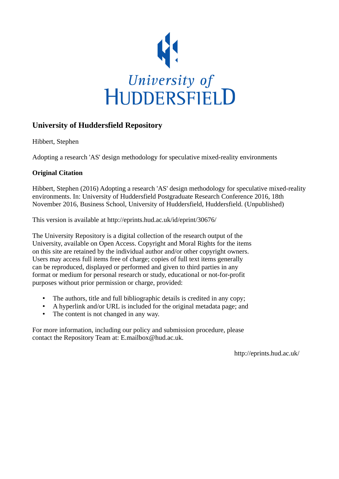

#### **University of Huddersfield Repository**

Hibbert, Stephen

Adopting a research 'AS' design methodology for speculative mixed-reality environments

#### **Original Citation**

Hibbert, Stephen (2016) Adopting a research 'AS' design methodology for speculative mixed-reality environments. In: University of Huddersfield Postgraduate Research Conference 2016, 18th November 2016, Business School, University of Huddersfield, Huddersfield. (Unpublished)

This version is available at http://eprints.hud.ac.uk/id/eprint/30676/

The University Repository is a digital collection of the research output of the University, available on Open Access. Copyright and Moral Rights for the items on this site are retained by the individual author and/or other copyright owners. Users may access full items free of charge; copies of full text items generally can be reproduced, displayed or performed and given to third parties in any format or medium for personal research or study, educational or not-for-profit purposes without prior permission or charge, provided:

- The authors, title and full bibliographic details is credited in any copy;
- A hyperlink and/or URL is included for the original metadata page; and
- The content is not changed in any way.

For more information, including our policy and submission procedure, please contact the Repository Team at: E.mailbox@hud.ac.uk.

http://eprints.hud.ac.uk/